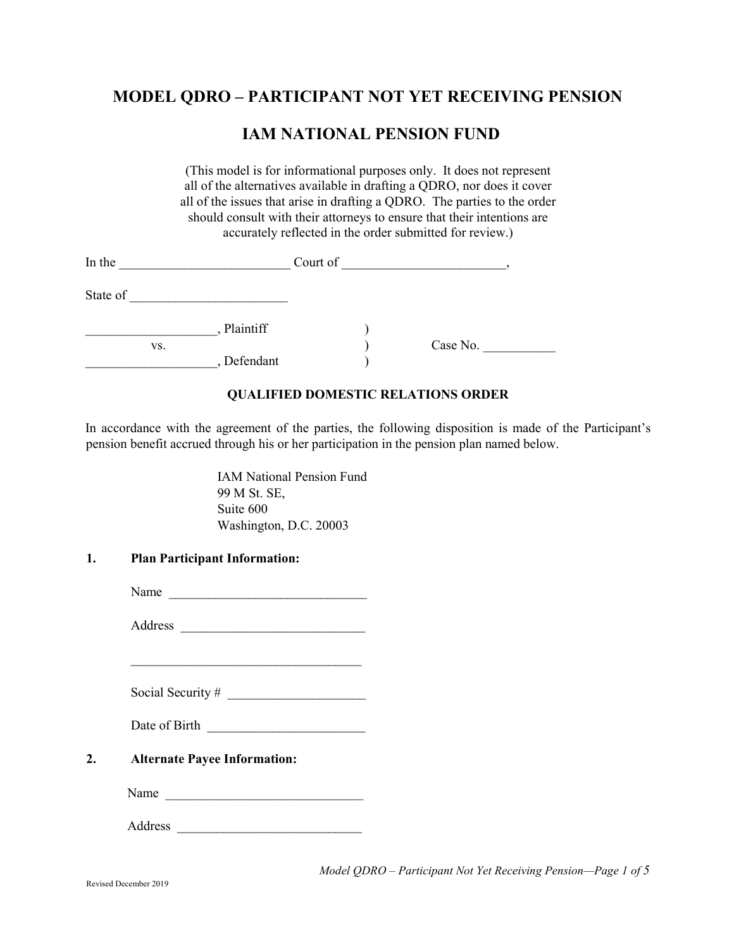# **MODEL QDRO – PARTICIPANT NOT YET RECEIVING PENSION**

## **IAM NATIONAL PENSION FUND**

(This model is for informational purposes only. It does not represent all of the alternatives available in drafting a QDRO, nor does it cover all of the issues that arise in drafting a QDRO. The parties to the order should consult with their attorneys to ensure that their intentions are accurately reflected in the order submitted for review.)

| In the   |     |             | Court of |          |
|----------|-----|-------------|----------|----------|
| State of |     |             |          |          |
|          |     | , Plaintiff |          |          |
|          | VS. | Defendant   |          | Case No. |

## **QUALIFIED DOMESTIC RELATIONS ORDER**

In accordance with the agreement of the parties, the following disposition is made of the Participant's pension benefit accrued through his or her participation in the pension plan named below.

> **IAM National Pension Fund**  99 M St. SE, Suite 600 Washington, D.C. 20003

#### **1. Plan Participant Information:**

Name

Address \_\_\_\_\_\_\_\_\_\_\_\_\_\_\_\_\_\_\_\_\_\_\_\_\_\_\_\_

 $\overline{\phantom{a}}$  , and the set of the set of the set of the set of the set of the set of the set of the set of the set of the set of the set of the set of the set of the set of the set of the set of the set of the set of the s

Social Security #

Date of Birth

**2. Alternate Payee Information:**

Name \_\_\_\_\_\_\_\_\_\_\_\_\_\_\_\_\_\_\_\_\_\_\_\_\_\_\_\_\_\_

Address \_\_\_\_\_\_\_\_\_\_\_\_\_\_\_\_\_\_\_\_\_\_\_\_\_\_\_\_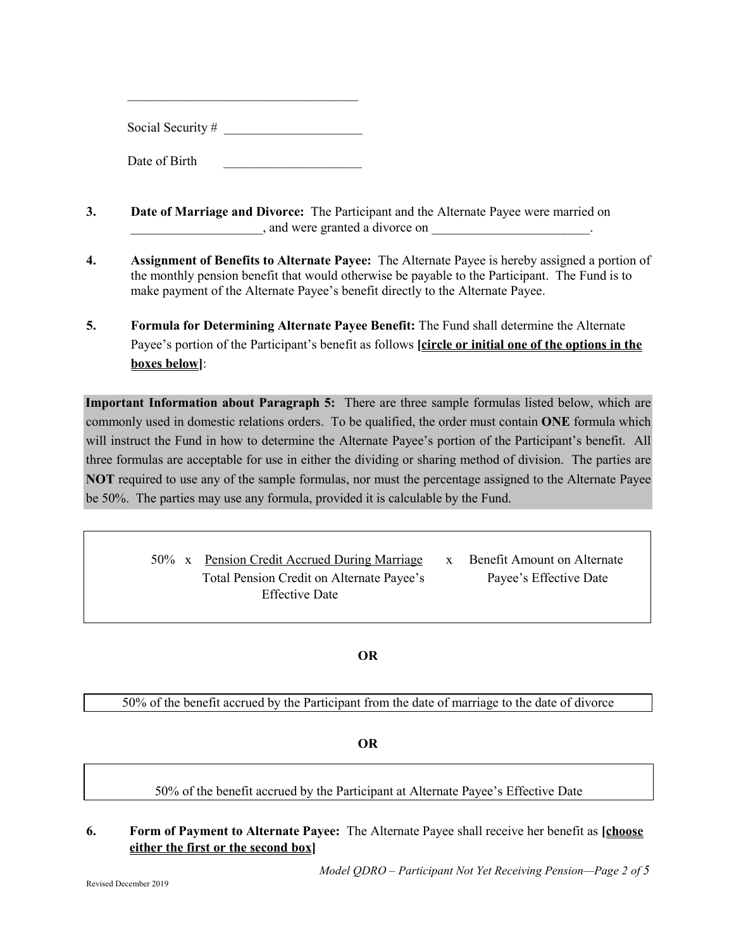Social Security #

 $\overline{\phantom{a}}$  , where  $\overline{\phantom{a}}$  , where  $\overline{\phantom{a}}$  , where  $\overline{\phantom{a}}$  , where  $\overline{\phantom{a}}$ 

Date of Birth

- **3. Date of Marriage and Divorce:** The Participant and the Alternate Payee were married on , and were granted a divorce on
- **4. Assignment of Benefits to Alternate Payee:** The Alternate Payee is hereby assigned a portion of the monthly pension benefit that would otherwise be payable to the Participant. The Fund is to make payment of the Alternate Payee's benefit directly to the Alternate Payee.
- **5. Formula for Determining Alternate Payee Benefit:** The Fund shall determine the Alternate Payee's portion of the Participant's benefit as follows **[circle or initial one of the options in the boxes below]**:

**Important Information about Paragraph 5:** There are three sample formulas listed below, which are commonly used in domestic relations orders. To be qualified, the order must contain **ONE** formula which will instruct the Fund in how to determine the Alternate Payee's portion of the Participant's benefit. All three formulas are acceptable for use in either the dividing or sharing method of division. The parties are **NOT** required to use any of the sample formulas, nor must the percentage assigned to the Alternate Payee be 50%. The parties may use any formula, provided it is calculable by the Fund.

> 50% x Pension Credit Accrued During Marriage x Benefit Amount on Alternate Total Pension Credit on Alternate Payee's Payee's Effective Date Effective Date

**OR** 

50% of the benefit accrued by the Participant from the date of marriage to the date of divorce

**OR** 

## 50% of the benefit accrued by the Participant at Alternate Payee's Effective Date

## **6. Form of Payment to Alternate Payee:** The Alternate Payee shall receive her benefit as **[choose either the first or the second box]**

*Model QDRO – Participant Not Yet Receiving Pension—Page 2 of 5*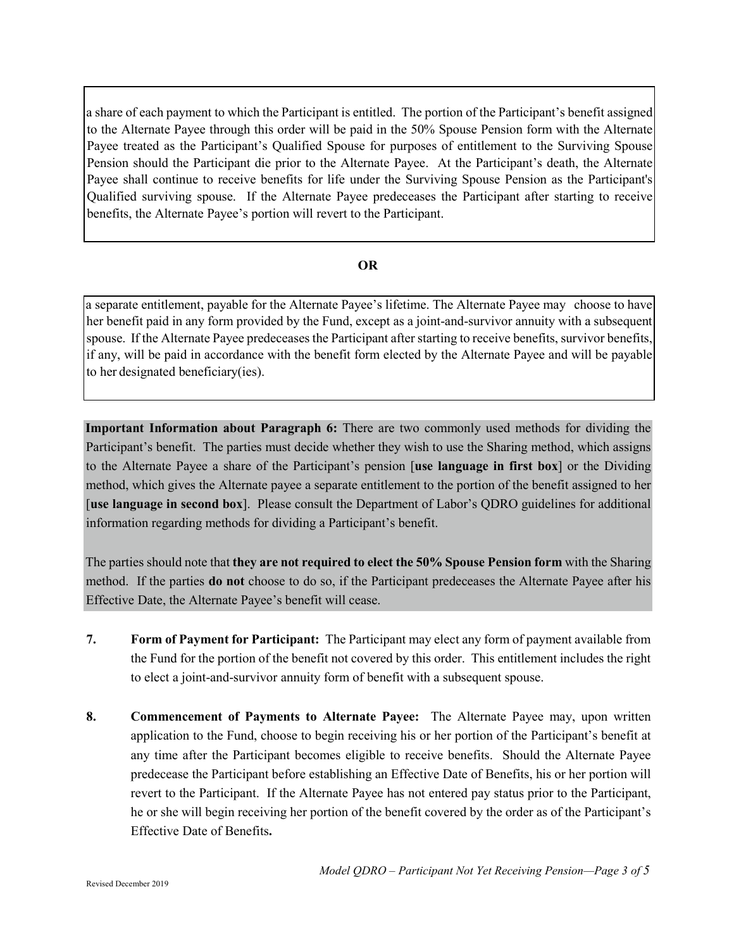a share of each payment to which the Participant is entitled. The portion of the Participant's benefit assigned to the Alternate Payee through this order will be paid in the 50% Spouse Pension form with the Alternate Payee treated as the Participant's Qualified Spouse for purposes of entitlement to the Surviving Spouse Pension should the Participant die prior to the Alternate Payee. At the Participant's death, the Alternate Payee shall continue to receive benefits for life under the Surviving Spouse Pension as the Participant's Qualified surviving spouse. If the Alternate Payee predeceases the Participant after starting to receive benefits, the Alternate Payee's portion will revert to the Participant.

### **OR**

a separate entitlement, payable for the Alternate Payee's lifetime. The Alternate Payee may choose to have her benefit paid in any form provided by the Fund, except as a joint-and-survivor annuity with a subsequent spouse. If the Alternate Payee predeceases the Participant after starting to receive benefits, survivor benefits, if any, will be paid in accordance with the benefit form elected by the Alternate Payee and will be payable to her designated beneficiary(ies).

**Important Information about Paragraph 6:** There are two commonly used methods for dividing the Participant's benefit. The parties must decide whether they wish to use the Sharing method, which assigns to the Alternate Payee a share of the Participant's pension [**use language in first box**] or the Dividing method, which gives the Alternate payee a separate entitlement to the portion of the benefit assigned to her [use language in second box]. Please consult the Department of Labor's QDRO guidelines for additional information regarding methods for dividing a Participant's benefit.

The parties should note that **they are not required to elect the 50% Spouse Pension form** with the Sharing method. If the parties **do not** choose to do so, if the Participant predeceases the Alternate Payee after his Effective Date, the Alternate Payee's benefit will cease.

- **7. Form of Payment for Participant:** The Participant may elect any form of payment available from the Fund for the portion of the benefit not covered by this order. This entitlement includes the right to elect a joint-and-survivor annuity form of benefit with a subsequent spouse.
- **8. Commencement of Payments to Alternate Payee:** The Alternate Payee may, upon written application to the Fund, choose to begin receiving his or her portion of the Participant's benefit at any time after the Participant becomes eligible to receive benefits. Should the Alternate Payee predecease the Participant before establishing an Effective Date of Benefits, his or her portion will revert to the Participant. If the Alternate Payee has not entered pay status prior to the Participant, he or she will begin receiving her portion of the benefit covered by the order as of the Participant's Effective Date of Benefits**.**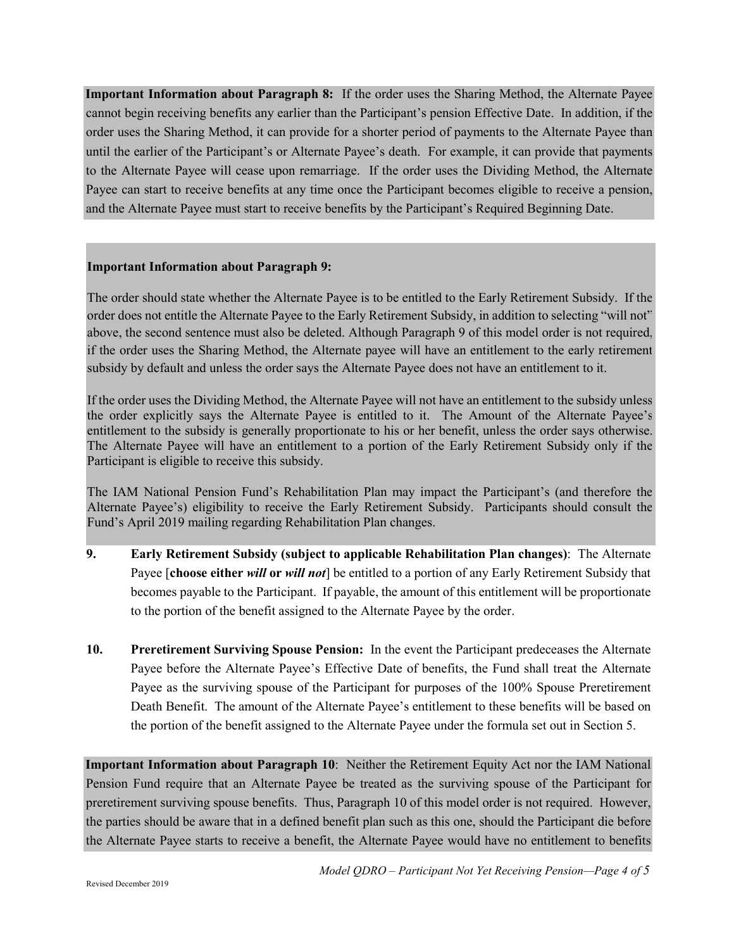**Important Information about Paragraph 8:** If the order uses the Sharing Method, the Alternate Payee cannot begin receiving benefits any earlier than the Participant's pension Effective Date. In addition, if the order uses the Sharing Method, it can provide for a shorter period of payments to the Alternate Payee than until the earlier of the Participant's or Alternate Payee's death. For example, it can provide that payments to the Alternate Payee will cease upon remarriage. If the order uses the Dividing Method, the Alternate Payee can start to receive benefits at any time once the Participant becomes eligible to receive a pension, and the Alternate Payee must start to receive benefits by the Participant's Required Beginning Date.

#### **Important Information about Paragraph 9:**

The order should state whether the Alternate Payee is to be entitled to the Early Retirement Subsidy. If the order does not entitle the Alternate Payee to the Early Retirement Subsidy, in addition to selecting "will not" above, the second sentence must also be deleted. Although Paragraph 9 of this model order is not required, if the order uses the Sharing Method, the Alternate payee will have an entitlement to the early retirement subsidy by default and unless the order says the Alternate Payee does not have an entitlement to it.

If the order uses the Dividing Method, the Alternate Payee will not have an entitlement to the subsidy unless the order explicitly says the Alternate Payee is entitled to it. The Amount of the Alternate Payee's entitlement to the subsidy is generally proportionate to his or her benefit, unless the order says otherwise. The Alternate Payee will have an entitlement to a portion of the Early Retirement Subsidy only if the Participant is eligible to receive this subsidy.

The IAM National Pension Fund's Rehabilitation Plan may impact the Participant's (and therefore the Alternate Payee's) eligibility to receive the Early Retirement Subsidy. Participants should consult the Fund's April 2019 mailing regarding Rehabilitation Plan changes.

- **9. Early Retirement Subsidy (subject to applicable Rehabilitation Plan changes)**: The Alternate Payee [**choose either** *will* **or** *will not*] be entitled to a portion of any Early Retirement Subsidy that becomes payable to the Participant. If payable, the amount of this entitlement will be proportionate to the portion of the benefit assigned to the Alternate Payee by the order.
- **10. Preretirement Surviving Spouse Pension:** In the event the Participant predeceases the Alternate Payee before the Alternate Payee's Effective Date of benefits, the Fund shall treat the Alternate Payee as the surviving spouse of the Participant for purposes of the 100% Spouse Preretirement Death Benefit. The amount of the Alternate Payee's entitlement to these benefits will be based on the portion of the benefit assigned to the Alternate Payee under the formula set out in Section 5.

**Important Information about Paragraph 10**: Neither the Retirement Equity Act nor the IAM National Pension Fund require that an Alternate Payee be treated as the surviving spouse of the Participant for preretirement surviving spouse benefits. Thus, Paragraph 10 of this model order is not required. However, the parties should be aware that in a defined benefit plan such as this one, should the Participant die before the Alternate Payee starts to receive a benefit, the Alternate Payee would have no entitlement to benefits